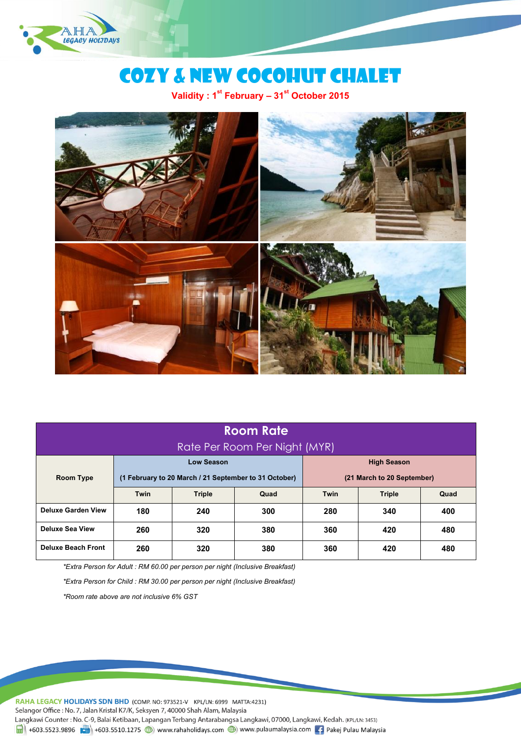

# Cozy & New cocohut chalet

**Validity : 1stFebruary –31st October 2015**



## **Room Rate** Rate Per Room Per Night (MYR)

|                           | Low Season                                                                          |               |      | <b>High Season</b> |               |      |
|---------------------------|-------------------------------------------------------------------------------------|---------------|------|--------------------|---------------|------|
| <b>Room Type</b>          | (1 February to 20 March / 21 September to 31 October)<br>(21 March to 20 September) |               |      |                    |               |      |
|                           | <b>Twin</b>                                                                         | <b>Triple</b> | Quad | <b>Twin</b>        | <b>Triple</b> | Quad |
| <b>Deluxe Garden View</b> | 180                                                                                 | 240           | 300  | 280                | 340           | 400  |
| <b>Deluxe Sea View</b>    | 260                                                                                 | 320           | 380  | 360                | 420           | 480  |
| <b>Deluxe Beach Front</b> | 260                                                                                 | 320           | 380  | 360                | 420           | 480  |

*\*Extra Person for Adult : RM 60.00 per person per night (Inclusive Breakfast)*

*\*Extra Person for Child : RM 30.00 per person per night (Inclusive Breakfast)*

*\*Room rate above arenot inclusive6% GST*

RAHA LEGACY HOLIDAYS SDN BHD (COMP. NO: 973521-V KPL/LN: 6999 MATTA:4231) Selangor Office: No. 7, Jalan Kristal K7/K, Seksyen 7, 40000 Shah Alam, Malaysia Langkawi Counter: No. C-9, Balai Ketibaan, Lapangan Terbang Antarabangsa Langkawi, 07000, Langkawi, Kedah. (KPL/LN: 3453)  $\frac{1}{21}$  +603.5523.9896 +603.5510.1275 (b) www.rahaholidays.com (b) www.pulaumalaysia.com + Pakej Pulau Malaysia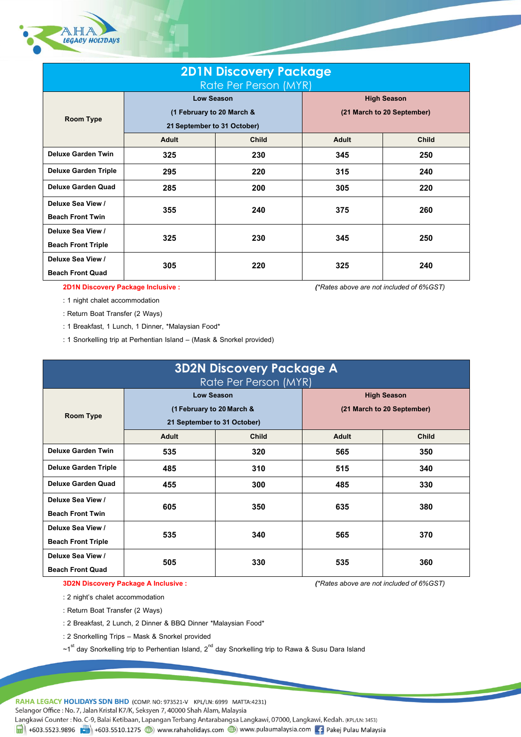

| <b>2D1N Discovery Package</b><br>Rate Per Person (MYR) |                                                                        |              |                                                  |              |  |
|--------------------------------------------------------|------------------------------------------------------------------------|--------------|--------------------------------------------------|--------------|--|
| Room Type                                              | Low Season<br>(1 February to 20 March &<br>21 September to 31 October) |              | <b>High Season</b><br>(21 March to 20 September) |              |  |
|                                                        | <b>Adult</b>                                                           | <b>Child</b> | <b>Adult</b>                                     | <b>Child</b> |  |
| <b>Deluxe Garden Twin</b>                              | 325                                                                    | 230          | 345                                              | 250          |  |
| <b>Deluxe Garden Triple</b>                            | 295                                                                    | 220          | 315                                              | 240          |  |
| <b>Deluxe Garden Quad</b>                              | 285                                                                    | 200          | 305                                              | 220          |  |
| Deluxe Sea View /<br><b>Beach Front Twin</b>           | 355                                                                    | 240          | 375                                              | 260          |  |
| Deluxe Sea View /<br><b>Beach Front Triple</b>         | 325                                                                    | 230          | 345                                              | 250          |  |
| Deluxe Sea View /<br><b>Beach Front Quad</b>           | 305                                                                    | 220          | 325                                              | 240          |  |

**2D1N Discovery Package Inclusive :** *(\*Rates above are not included of 6%GST)*

: 1 night chalet accommodation

: Return Boat Transfer (2 Ways)

: 1 Breakfast, 1 Lunch, 1 Dinner, \*Malaysian Food\*

: 1 Snorkelling trip at Perhentian Island – (Mask & Snorkel provided)

| <b>3D2N Discovery Package A</b><br>Rate Per Person (MYR) |                                                                               |              |                                                  |              |
|----------------------------------------------------------|-------------------------------------------------------------------------------|--------------|--------------------------------------------------|--------------|
| <b>Room Type</b>                                         | <b>Low Season</b><br>(1 February to 20 March &<br>21 September to 31 October) |              | <b>High Season</b><br>(21 March to 20 September) |              |
|                                                          | Adult                                                                         | <b>Child</b> | <b>Adult</b>                                     | <b>Child</b> |
| <b>Deluxe Garden Twin</b>                                | 535                                                                           | 320          | 565                                              | 350          |
| <b>Deluxe Garden Triple</b>                              | 485                                                                           | 310          | 515                                              | 340          |
| Deluxe Garden Quad                                       | 455                                                                           | 300          | 485                                              | 330          |
| Deluxe Sea View /<br><b>Beach Front Twin</b>             | 605                                                                           | 350          | 635                                              | 380          |
| Deluxe Sea View /<br><b>Beach Front Triple</b>           | 535                                                                           | 340          | 565                                              | 370          |
| Deluxe Sea View /<br><b>Beach Front Quad</b>             | 505                                                                           | 330          | 535                                              | 360          |

**3D2N Discovery Package A Inclusive:** *(\*Rates aboveare not included of 6%GST)*

: 2 night's chalet accommodation

: Return Boat Transfer (2 Ways)

: 2 Breakfast, 2 Lunch, 2 Dinner & BBQ Dinner \*Malaysian Food\*

: 2 Snorkelling Trips – Mask & Snorkel provided

 $\sim$ 1 $^{\rm st}$  day Snorkelling trip to Perhentian Island,  $2^{\sf{nd}}$  day Snorkelling trip to Rawa & Susu Dara Island

RAHA LEGACY HOLIDAYS SDN BHD (COMP. NO: 973521-V KPL/LN: 6999 MATTA:4231)

Selangor Office: No. 7, Jalan Kristal K7/K, Seksyen 7, 40000 Shah Alam, Malaysia

Langkawi Counter: No. C-9, Balai Ketibaan, Lapangan Terbang Antarabangsa Langkawi, 07000, Langkawi, Kedah. (KPL/LN: 3453)

 $\frac{1}{21}$  +603.5523.9896 +603.5510.1275 (b) www.rahaholidays.com (c) www.pulaumalaysia.com  $\frac{1}{21}$  Pakej Pulau Malaysia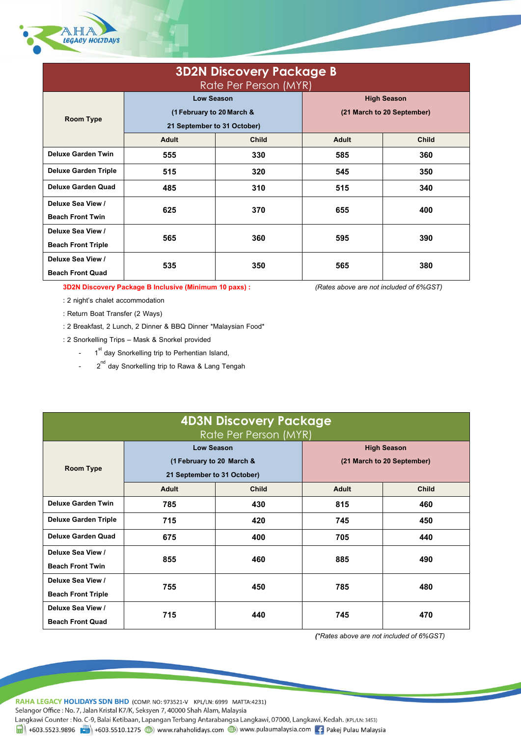

| <b>3D2N Discovery Package B</b><br>Rate Per Person (MYR) |                             |       |                            |              |  |
|----------------------------------------------------------|-----------------------------|-------|----------------------------|--------------|--|
|                                                          | <b>Low Season</b>           |       | <b>High Season</b>         |              |  |
| Room Type                                                | (1 February to 20 March &   |       | (21 March to 20 September) |              |  |
|                                                          | 21 September to 31 October) |       |                            |              |  |
|                                                          | Adult                       | Child | <b>Adult</b>               | <b>Child</b> |  |
| <b>Deluxe Garden Twin</b>                                | 555                         | 330   | 585                        | 360          |  |
| <b>Deluxe Garden Triple</b>                              | 515                         | 320   | 545                        | 350          |  |
| <b>Deluxe Garden Quad</b>                                | 485                         | 310   | 515                        | 340          |  |
| Deluxe Sea View /                                        | 625                         | 370   | 655                        | 400          |  |
| <b>Beach Front Twin</b>                                  |                             |       |                            |              |  |
| Deluxe Sea View /                                        | 565                         | 360   | 595                        | 390          |  |
| <b>Beach Front Triple</b>                                |                             |       |                            |              |  |
| Deluxe Sea View /                                        | 535                         | 350   | 565                        | 380          |  |
| <b>Beach Front Quad</b>                                  |                             |       |                            |              |  |

**3D2N Discovery Package B Inclusive(Minimum 10 paxs) :** *(Rates above are not included of 6%GST)*

- : 2 night's chalet accommodation
- : Return Boat Transfer (2 Ways)
- : 2 Breakfast, 2 Lunch, 2 Dinner & BBQ Dinner \*Malaysian Food\*
- : 2 Snorkelling Trips Mask & Snorkel provided
	- 1<sup>st</sup> day Snorkelling trip to Perhentian Island,
	- 2<sup>nd</sup> day Snorkelling trip to Rawa & Lang Tengah

| <b>4D3N Discovery Package</b><br>Rate Per Person (MYR) |                                                                               |              |                                                  |              |
|--------------------------------------------------------|-------------------------------------------------------------------------------|--------------|--------------------------------------------------|--------------|
| <b>Room Type</b>                                       | <b>Low Season</b><br>(1 February to 20 March &<br>21 September to 31 October) |              | <b>High Season</b><br>(21 March to 20 September) |              |
|                                                        | Adult                                                                         | <b>Child</b> | Adult                                            | <b>Child</b> |
| <b>Deluxe Garden Twin</b>                              | 785                                                                           | 430          | 815                                              | 460          |
| <b>Deluxe Garden Triple</b>                            | 715                                                                           | 420          | 745                                              | 450          |
| <b>Deluxe Garden Quad</b>                              | 675                                                                           | 400          | 705                                              | 440          |
| Deluxe Sea View /<br><b>Beach Front Twin</b>           | 855                                                                           | 460          | 885                                              | 490          |
| Deluxe Sea View /<br><b>Beach Front Triple</b>         | 755                                                                           | 450          | 785                                              | 480          |
| Deluxe Sea View /<br><b>Beach Front Quad</b>           | 715                                                                           | 440          | 745                                              | 470          |

*(\*Rates above are not included of 6%GST)*

RAHA LEGACY HOLIDAYS SDN BHD (COMP. NO: 973521-V KPL/LN: 6999 MATTA:4231) Selangor Office: No. 7, Jalan Kristal K7/K, Seksyen 7, 40000 Shah Alam, Malaysia

Langkawi Counter : No. C-9, Balai Ketibaan, Lapangan Terbang Antarabangsa Langkawi, 07000, Langkawi, Kedah. (KPL/LN: 3453)

 $\overrightarrow{H}$  +603.5523.9896  $\overrightarrow{F}$  +603.5510.1275  $\circledR$  www.rahaholidays.com  $\circledR$  www.pulaumalaysia.com 1. Pakej Pulau Malaysia